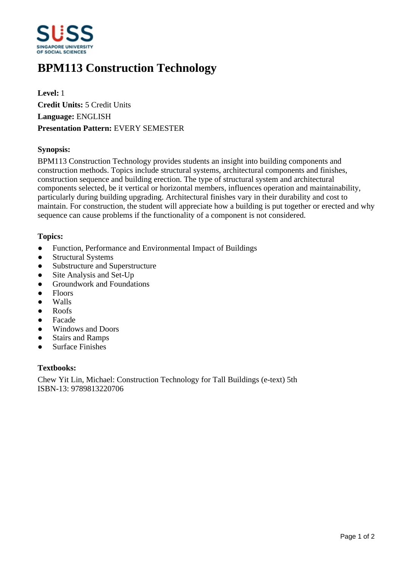

# **BPM113 Construction Technology**

**Level:** 1 **Credit Units:** 5 Credit Units **Language:** ENGLISH **Presentation Pattern:** EVERY SEMESTER

## **Synopsis:**

BPM113 Construction Technology provides students an insight into building components and construction methods. Topics include structural systems, architectural components and finishes, construction sequence and building erection. The type of structural system and architectural components selected, be it vertical or horizontal members, influences operation and maintainability, particularly during building upgrading. Architectural finishes vary in their durability and cost to maintain. For construction, the student will appreciate how a building is put together or erected and why sequence can cause problems if the functionality of a component is not considered.

### **Topics:**

- Function, Performance and Environmental Impact of Buildings
- Structural Systems
- Substructure and Superstructure
- Site Analysis and Set-Up
- Groundwork and Foundations
- Floors
- Walls
- Roofs
- Facade
- Windows and Doors
- Stairs and Ramps
- Surface Finishes

### **Textbooks:**

Chew Yit Lin, Michael: Construction Technology for Tall Buildings (e-text) 5th ISBN-13: 9789813220706